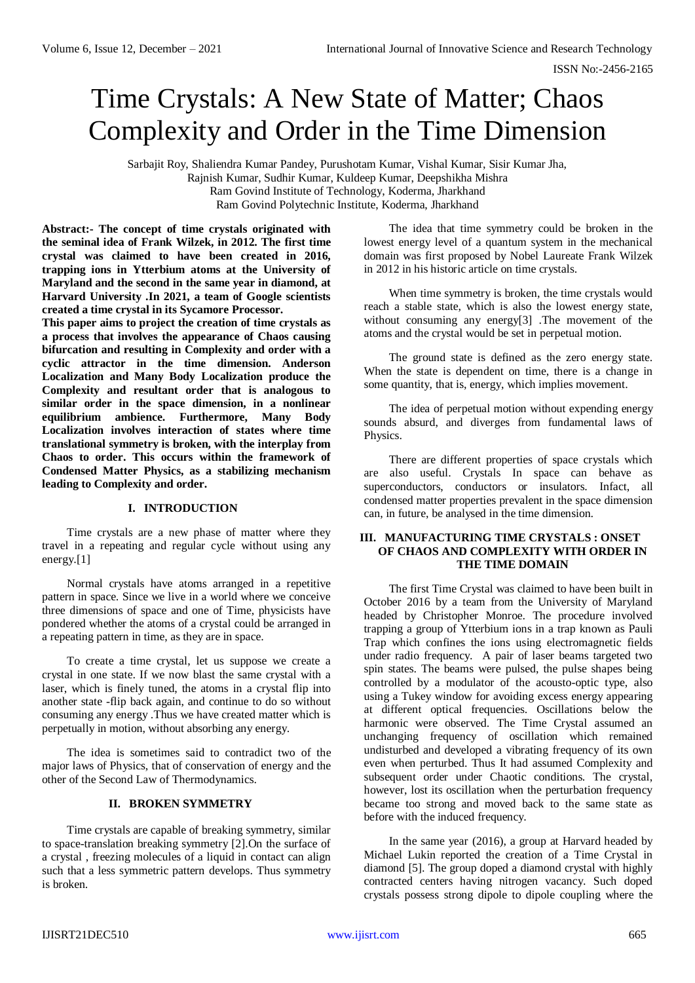ISSN No:-2456-2165

# Time Crystals: A New State of Matter; Chaos Complexity and Order in the Time Dimension

Sarbajit Roy, Shaliendra Kumar Pandey, Purushotam Kumar, Vishal Kumar, Sisir Kumar Jha, Rajnish Kumar, Sudhir Kumar, Kuldeep Kumar, Deepshikha Mishra Ram Govind Institute of Technology, Koderma, Jharkhand Ram Govind Polytechnic Institute, Koderma, Jharkhand

**Abstract:- The concept of time crystals originated with the seminal idea of Frank Wilzek, in 2012. The first time crystal was claimed to have been created in 2016, trapping ions in Ytterbium atoms at the University of Maryland and the second in the same year in diamond, at Harvard University .In 2021, a team of Google scientists created a time crystal in its Sycamore Processor.**

**This paper aims to project the creation of time crystals as a process that involves the appearance of Chaos causing bifurcation and resulting in Complexity and order with a cyclic attractor in the time dimension. Anderson Localization and Many Body Localization produce the Complexity and resultant order that is analogous to similar order in the space dimension, in a nonlinear equilibrium ambience. Furthermore, Many Body Localization involves interaction of states where time translational symmetry is broken, with the interplay from Chaos to order. This occurs within the framework of Condensed Matter Physics, as a stabilizing mechanism leading to Complexity and order.**

### **I. INTRODUCTION**

Time crystals are a new phase of matter where they travel in a repeating and regular cycle without using any energy.[1]

Normal crystals have atoms arranged in a repetitive pattern in space. Since we live in a world where we conceive three dimensions of space and one of Time, physicists have pondered whether the atoms of a crystal could be arranged in a repeating pattern in time, as they are in space.

To create a time crystal, let us suppose we create a crystal in one state. If we now blast the same crystal with a laser, which is finely tuned, the atoms in a crystal flip into another state -flip back again, and continue to do so without consuming any energy .Thus we have created matter which is perpetually in motion, without absorbing any energy.

The idea is sometimes said to contradict two of the major laws of Physics, that of conservation of energy and the other of the Second Law of Thermodynamics.

# **II. BROKEN SYMMETRY**

Time crystals are capable of breaking symmetry, similar to space-translation breaking symmetry [2].On the surface of a crystal , freezing molecules of a liquid in contact can align such that a less symmetric pattern develops. Thus symmetry is broken.

The idea that time symmetry could be broken in the lowest energy level of a quantum system in the mechanical domain was first proposed by Nobel Laureate Frank Wilzek in 2012 in his historic article on time crystals.

When time symmetry is broken, the time crystals would reach a stable state, which is also the lowest energy state, without consuming any energy[3] .The movement of the atoms and the crystal would be set in perpetual motion.

The ground state is defined as the zero energy state. When the state is dependent on time, there is a change in some quantity, that is, energy, which implies movement.

The idea of perpetual motion without expending energy sounds absurd, and diverges from fundamental laws of Physics.

There are different properties of space crystals which are also useful. Crystals In space can behave as superconductors, conductors or insulators. Infact, all condensed matter properties prevalent in the space dimension can, in future, be analysed in the time dimension.

# **III. MANUFACTURING TIME CRYSTALS : ONSET OF CHAOS AND COMPLEXITY WITH ORDER IN THE TIME DOMAIN**

The first Time Crystal was claimed to have been built in October 2016 by a team from the University of Maryland headed by Christopher Monroe. The procedure involved trapping a group of Ytterbium ions in a trap known as Pauli Trap which confines the ions using electromagnetic fields under radio frequency. A pair of laser beams targeted two spin states. The beams were pulsed, the pulse shapes being controlled by a modulator of the acousto-optic type, also using a Tukey window for avoiding excess energy appearing at different optical frequencies. Oscillations below the harmonic were observed. The Time Crystal assumed an unchanging frequency of oscillation which remained undisturbed and developed a vibrating frequency of its own even when perturbed. Thus It had assumed Complexity and subsequent order under Chaotic conditions. The crystal, however, lost its oscillation when the perturbation frequency became too strong and moved back to the same state as before with the induced frequency.

In the same year (2016), a group at Harvard headed by Michael Lukin reported the creation of a Time Crystal in diamond [5]. The group doped a diamond crystal with highly contracted centers having nitrogen vacancy. Such doped crystals possess strong dipole to dipole coupling where the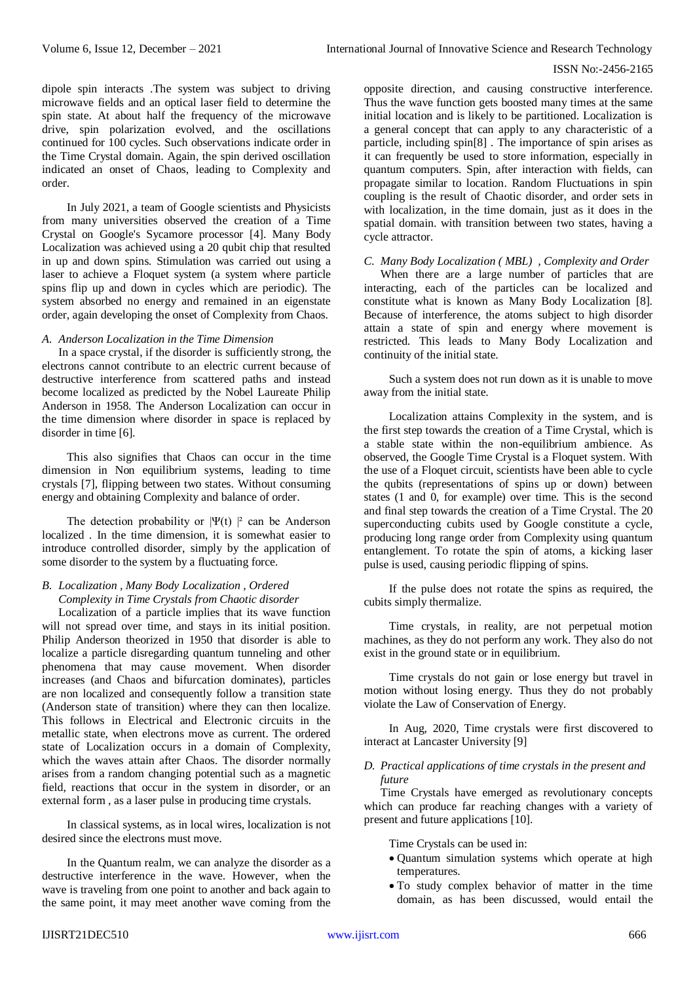## ISSN No:-2456-2165

dipole spin interacts .The system was subject to driving microwave fields and an optical laser field to determine the spin state. At about half the frequency of the microwave drive, spin polarization evolved, and the oscillations continued for 100 cycles. Such observations indicate order in the Time Crystal domain. Again, the spin derived oscillation indicated an onset of Chaos, leading to Complexity and order.

In July 2021, a team of Google scientists and Physicists from many universities observed the creation of a Time Crystal on Google's Sycamore processor [4]. Many Body Localization was achieved using a 20 qubit chip that resulted in up and down spins. Stimulation was carried out using a laser to achieve a Floquet system (a system where particle spins flip up and down in cycles which are periodic). The system absorbed no energy and remained in an eigenstate order, again developing the onset of Complexity from Chaos.

## *A. Anderson Localization in the Time Dimension*

In a space crystal, if the disorder is sufficiently strong, the electrons cannot contribute to an electric current because of destructive interference from scattered paths and instead become localized as predicted by the Nobel Laureate Philip Anderson in 1958. The Anderson Localization can occur in the time dimension where disorder in space is replaced by disorder in time [6].

This also signifies that Chaos can occur in the time dimension in Non equilibrium systems, leading to time crystals [7], flipping between two states. Without consuming energy and obtaining Complexity and balance of order.

The detection probability or  $|\Psi(t)|^2$  can be Anderson localized . In the time dimension, it is somewhat easier to introduce controlled disorder, simply by the application of some disorder to the system by a fluctuating force.

# *B. Localization , Many Body Localization , Ordered Complexity in Time Crystals from Chaotic disorder*

Localization of a particle implies that its wave function will not spread over time, and stays in its initial position. Philip Anderson theorized in 1950 that disorder is able to localize a particle disregarding quantum tunneling and other phenomena that may cause movement. When disorder increases (and Chaos and bifurcation dominates), particles are non localized and consequently follow a transition state (Anderson state of transition) where they can then localize. This follows in Electrical and Electronic circuits in the metallic state, when electrons move as current. The ordered state of Localization occurs in a domain of Complexity, which the waves attain after Chaos. The disorder normally arises from a random changing potential such as a magnetic field, reactions that occur in the system in disorder, or an external form , as a laser pulse in producing time crystals.

In classical systems, as in local wires, localization is not desired since the electrons must move.

In the Quantum realm, we can analyze the disorder as a destructive interference in the wave. However, when the wave is traveling from one point to another and back again to the same point, it may meet another wave coming from the opposite direction, and causing constructive interference. Thus the wave function gets boosted many times at the same initial location and is likely to be partitioned. Localization is a general concept that can apply to any characteristic of a particle, including spin[8] . The importance of spin arises as it can frequently be used to store information, especially in quantum computers. Spin, after interaction with fields, can propagate similar to location. Random Fluctuations in spin coupling is the result of Chaotic disorder, and order sets in with localization, in the time domain, just as it does in the spatial domain. with transition between two states, having a cycle attractor.

## *C. Many Body Localization ( MBL) , Complexity and Order*

When there are a large number of particles that are interacting, each of the particles can be localized and constitute what is known as Many Body Localization [8]. Because of interference, the atoms subject to high disorder attain a state of spin and energy where movement is restricted. This leads to Many Body Localization and continuity of the initial state.

Such a system does not run down as it is unable to move away from the initial state.

Localization attains Complexity in the system, and is the first step towards the creation of a Time Crystal, which is a stable state within the non-equilibrium ambience. As observed, the Google Time Crystal is a Floquet system. With the use of a Floquet circuit, scientists have been able to cycle the qubits (representations of spins up or down) between states (1 and 0, for example) over time. This is the second and final step towards the creation of a Time Crystal. The 20 superconducting cubits used by Google constitute a cycle, producing long range order from Complexity using quantum entanglement. To rotate the spin of atoms, a kicking laser pulse is used, causing periodic flipping of spins.

If the pulse does not rotate the spins as required, the cubits simply thermalize.

Time crystals, in reality, are not perpetual motion machines, as they do not perform any work. They also do not exist in the ground state or in equilibrium.

Time crystals do not gain or lose energy but travel in motion without losing energy. Thus they do not probably violate the Law of Conservation of Energy.

In Aug, 2020, Time crystals were first discovered to interact at Lancaster University [9]

### *D. Practical applications of time crystals in the present and future*

Time Crystals have emerged as revolutionary concepts which can produce far reaching changes with a variety of present and future applications [10].

Time Crystals can be used in:

- Quantum simulation systems which operate at high temperatures.
- To study complex behavior of matter in the time domain, as has been discussed, would entail the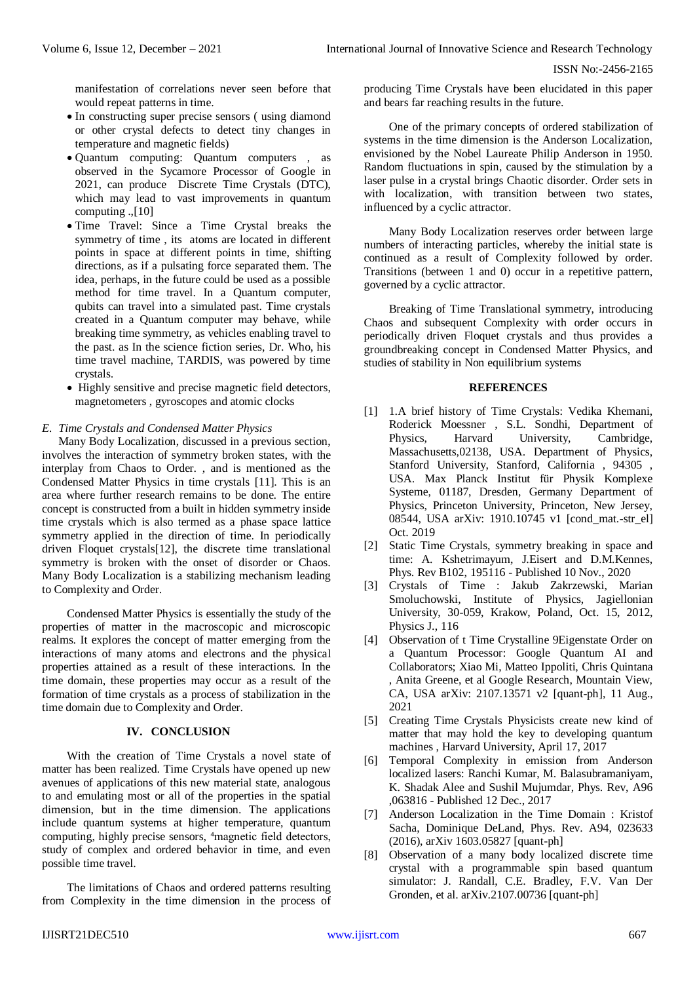manifestation of correlations never seen before that would repeat patterns in time.

- In constructing super precise sensors ( using diamond or other crystal defects to detect tiny changes in temperature and magnetic fields)
- Quantum computing: Quantum computers , as observed in the Sycamore Processor of Google in 2021, can produce Discrete Time Crystals (DTC), which may lead to vast improvements in quantum computing .,[10]
- Time Travel: Since a Time Crystal breaks the symmetry of time , its atoms are located in different points in space at different points in time, shifting directions, as if a pulsating force separated them. The idea, perhaps, in the future could be used as a possible method for time travel. In a Quantum computer, qubits can travel into a simulated past. Time crystals created in a Quantum computer may behave, while breaking time symmetry, as vehicles enabling travel to the past. as In the science fiction series, Dr. Who, his time travel machine, TARDIS, was powered by time crystals.
- Highly sensitive and precise magnetic field detectors, magnetometers , gyroscopes and atomic clocks

## *E. Time Crystals and Condensed Matter Physics*

Many Body Localization, discussed in a previous section, involves the interaction of symmetry broken states, with the interplay from Chaos to Order. , and is mentioned as the Condensed Matter Physics in time crystals [11]. This is an area where further research remains to be done. The entire concept is constructed from a built in hidden symmetry inside time crystals which is also termed as a phase space lattice symmetry applied in the direction of time. In periodically driven Floquet crystals[12], the discrete time translational symmetry is broken with the onset of disorder or Chaos. Many Body Localization is a stabilizing mechanism leading to Complexity and Order.

Condensed Matter Physics is essentially the study of the properties of matter in the macroscopic and microscopic realms. It explores the concept of matter emerging from the interactions of many atoms and electrons and the physical properties attained as a result of these interactions. In the time domain, these properties may occur as a result of the formation of time crystals as a process of stabilization in the time domain due to Complexity and Order.

## **IV. CONCLUSION**

With the creation of Time Crystals a novel state of matter has been realized. Time Crystals have opened up new avenues of applications of this new material state, analogous to and emulating most or all of the properties in the spatial dimension, but in the time dimension. The applications include quantum systems at higher temperature, quantum computing, highly precise sensors, <sup>4</sup>magnetic field detectors, study of complex and ordered behavior in time, and even possible time travel.

The limitations of Chaos and ordered patterns resulting from Complexity in the time dimension in the process of producing Time Crystals have been elucidated in this paper and bears far reaching results in the future.

One of the primary concepts of ordered stabilization of systems in the time dimension is the Anderson Localization, envisioned by the Nobel Laureate Philip Anderson in 1950. Random fluctuations in spin, caused by the stimulation by a laser pulse in a crystal brings Chaotic disorder. Order sets in with localization, with transition between two states, influenced by a cyclic attractor.

Many Body Localization reserves order between large numbers of interacting particles, whereby the initial state is continued as a result of Complexity followed by order. Transitions (between 1 and 0) occur in a repetitive pattern, governed by a cyclic attractor.

Breaking of Time Translational symmetry, introducing Chaos and subsequent Complexity with order occurs in periodically driven Floquet crystals and thus provides a groundbreaking concept in Condensed Matter Physics, and studies of stability in Non equilibrium systems

### **REFERENCES**

- [1] 1.A brief history of Time Crystals: Vedika Khemani, Roderick Moessner , S.L. Sondhi, Department of Physics, Harvard University, Cambridge, Massachusetts,02138, USA. Department of Physics, Stanford University, Stanford, California , 94305 , USA. Max Planck Institut für Physik Komplexe Systeme, 01187, Dresden, Germany Department of Physics, Princeton University, Princeton, New Jersey, 08544, USA arXiv: 1910.10745 v1 [cond\_mat.-str\_el] Oct. 2019
- [2] Static Time Crystals, symmetry breaking in space and time: A. Kshetrimayum, J.Eisert and D.M.Kennes, Phys. Rev B102, 195116 - Published 10 Nov., 2020
- [3] Crystals of Time : Jakub Zakrzewski, Marian Smoluchowski, Institute of Physics, Jagiellonian University, 30-059, Krakow, Poland, Oct. 15, 2012, Physics J., 116
- [4] Observation of t Time Crystalline 9Eigenstate Order on a Quantum Processor: Google Quantum AI and Collaborators; Xiao Mi, Matteo Ippoliti, Chris Quintana , Anita Greene, et al Google Research, Mountain View, CA, USA arXiv: 2107.13571 v2 [quant-ph], 11 Aug., 2021
- [5] Creating Time Crystals Physicists create new kind of matter that may hold the key to developing quantum machines , Harvard University, April 17, 2017
- [6] Temporal Complexity in emission from Anderson localized lasers: Ranchi Kumar, M. Balasubramaniyam, K. Shadak Alee and Sushil Mujumdar, Phys. Rev, A96 ,063816 - Published 12 Dec., 2017
- [7] Anderson Localization in the Time Domain : Kristof Sacha, Dominique DeLand, Phys. Rev. A94, 023633 (2016), arXiv 1603.05827 [quant-ph]
- [8] Observation of a many body localized discrete time crystal with a programmable spin based quantum simulator: J. Randall, C.E. Bradley, F.V. Van Der Gronden, et al. arXiv.2107.00736 [quant-ph]